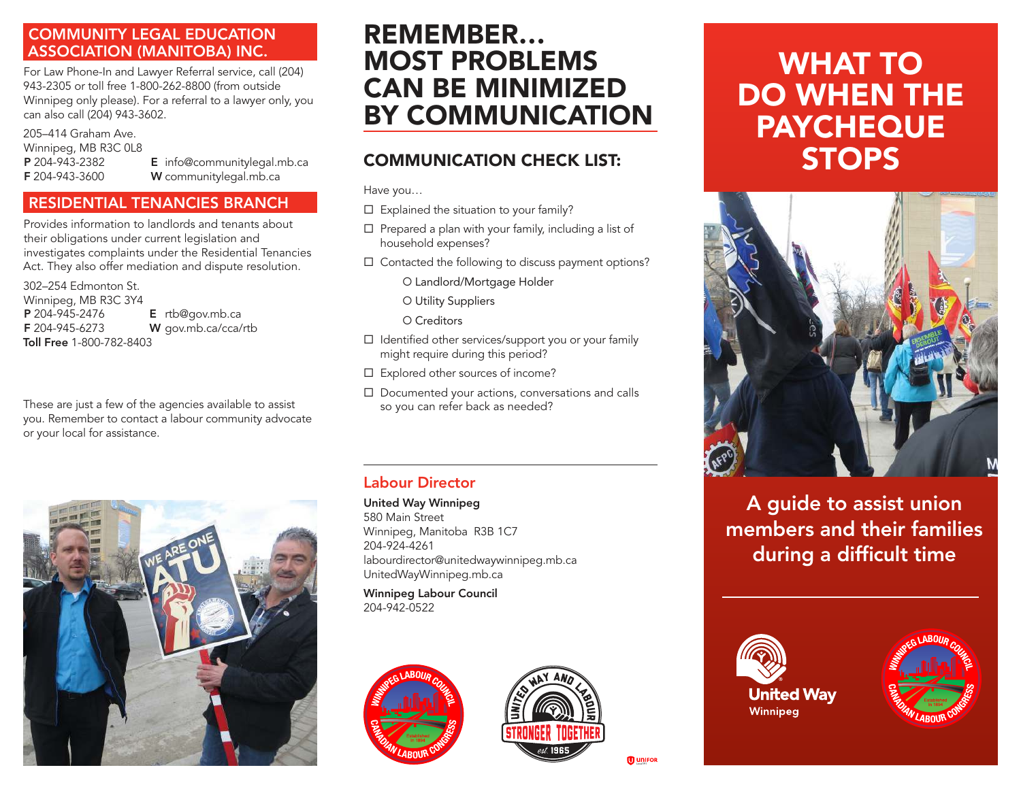#### COMMUNITY LEGAL EDUCATION ASSOCIATION (MANITOBA) INC.

For Law Phone-In and Lawyer Referral service, call (204) 943-2305 or toll free 1-800-262-8800 (from outside Winnipeg only please). For a referral to a lawyer only, you can also call (204) 943-3602.

205–414 Graham Ave. Winnipeg, MB R3C 0L8

P 204-943-2382 E info@communitylegal.mb.ca F 204-943-3600 W communitylegal.mb.ca

### RESIDENTIAL TENANCIES BRANCH

Provides information to landlords and tenants about their obligations under current legislation and investigates complaints under the Residential Tenancies Act. They also offer mediation and dispute resolution.

302–254 Edmonton St. Winnipeg, MB R3C 3Y4<br>**P** 204-945-2476  $E$  rtb@gov.mb.ca F 204-945-6273 W gov.mb.ca/cca/rtb Toll Free 1-800-782-8403

These are just a few of the agencies available to assist you. Remember to contact a labour community advocate or your local for assistance.



## REMEMBER… MOST PROBLEMS CAN BE MINIMIZED BY COMMUNICATION

## COMMUNICATION CHECK LIST:

Have you…

- $\square$  Explained the situation to your family?
- $\square$  Prepared a plan with your family, including a list of household expenses?
- $\square$  Contacted the following to discuss payment options?
	- O Landlord/Mortgage Holder
	- O Utility Suppliers

O Creditors

- $\square$  Identified other services/support you or your family might require during this period?
- $\square$  Explored other sources of income?
- $\square$  Documented your actions, conversations and calls so you can refer back as needed?

### Labour Director

United Way Winnipeg

580 Main Street Winnipeg, Manitoba R3B 1C7 204-924-4261 labourdirector@unitedwaywinnipeg.mb.ca UnitedWayWinnipeg.mb.ca

Winnipeg Labour Council 204-942-0522





# WHAT TO DO WHEN THE PAYCHEQUE **STOPS**



A guide to assist union members and their families during a difficult time